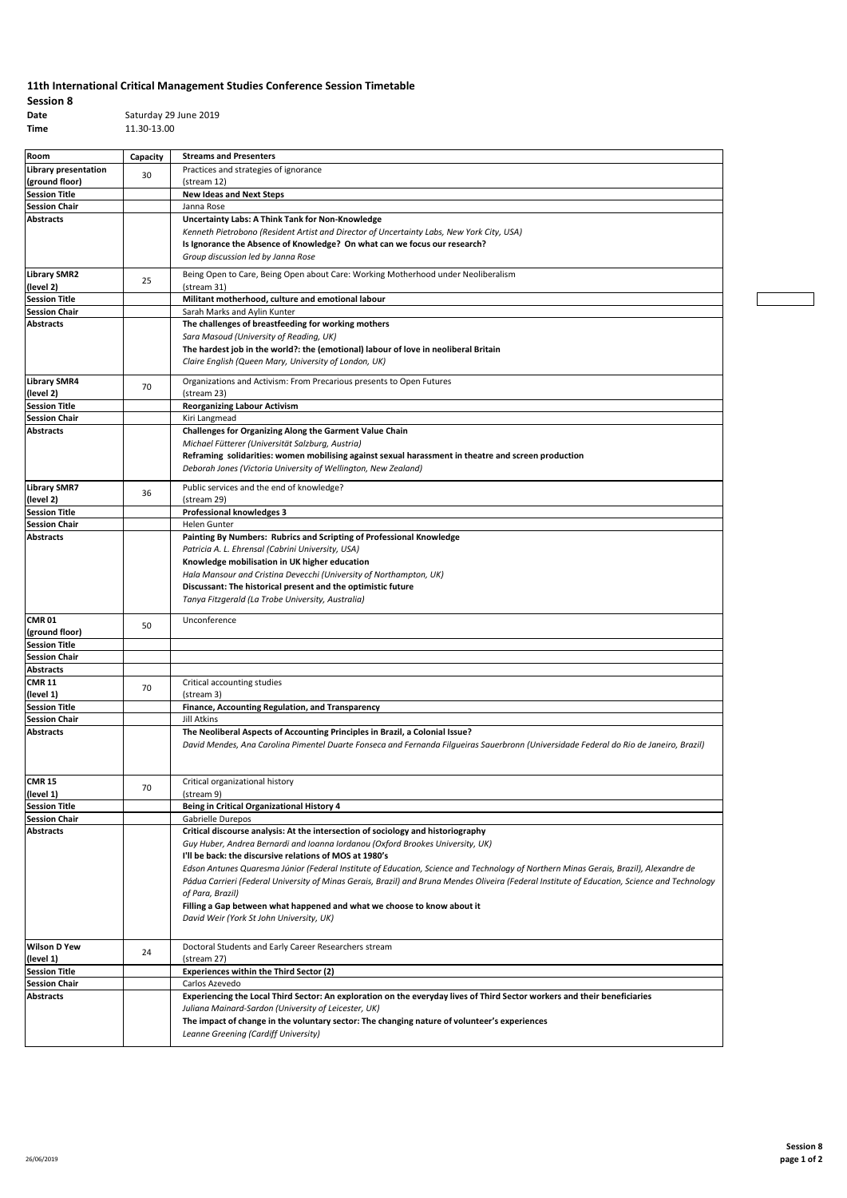## **11th International Critical Management Studies Conference Session Timetable**

**Session 8 Date** Saturday 29 June 2019<br> **Time** 11.30-13.00 **Time** 11.30-13.00

| Room                                         |          | <b>Streams and Presenters</b>                                                                                                                 |
|----------------------------------------------|----------|-----------------------------------------------------------------------------------------------------------------------------------------------|
| Library presentation                         | Capacity | Practices and strategies of ignorance                                                                                                         |
| (ground floor)                               | 30       | (stream 12)                                                                                                                                   |
| <b>Session Title</b>                         |          | <b>New Ideas and Next Steps</b>                                                                                                               |
| <b>Session Chair</b>                         |          | Janna Rose                                                                                                                                    |
| <b>Abstracts</b>                             |          | Uncertainty Labs: A Think Tank for Non-Knowledge                                                                                              |
|                                              |          | Kenneth Pietrobono (Resident Artist and Director of Uncertainty Labs, New York City, USA)                                                     |
|                                              |          | Is Ignorance the Absence of Knowledge? On what can we focus our research?                                                                     |
|                                              |          | Group discussion led by Janna Rose                                                                                                            |
|                                              |          |                                                                                                                                               |
| <b>Library SMR2</b>                          | 25       | Being Open to Care, Being Open about Care: Working Motherhood under Neoliberalism                                                             |
| (level 2)                                    |          | (stream 31)                                                                                                                                   |
| <b>Session Title</b><br><b>Session Chair</b> |          | Militant motherhood, culture and emotional labour<br>Sarah Marks and Aylin Kunter                                                             |
| <b>Abstracts</b>                             |          | The challenges of breastfeeding for working mothers                                                                                           |
|                                              |          | Sara Masoud (University of Reading, UK)                                                                                                       |
|                                              |          | The hardest job in the world?: the (emotional) labour of love in neoliberal Britain                                                           |
|                                              |          | Claire English (Queen Mary, University of London, UK)                                                                                         |
|                                              |          |                                                                                                                                               |
| <b>Library SMR4</b>                          | 70       | Organizations and Activism: From Precarious presents to Open Futures                                                                          |
| (level 2)                                    |          | (stream 23)                                                                                                                                   |
| <b>Session Title</b>                         |          | <b>Reorganizing Labour Activism</b>                                                                                                           |
| <b>Session Chair</b>                         |          | Kiri Langmead                                                                                                                                 |
| <b>Abstracts</b>                             |          | Challenges for Organizing Along the Garment Value Chain                                                                                       |
|                                              |          | Michael Fütterer (Universität Salzburg, Austria)                                                                                              |
|                                              |          | Reframing solidarities: women mobilising against sexual harassment in theatre and screen production                                           |
|                                              |          | Deborah Jones (Victoria University of Wellington, New Zealand)                                                                                |
| <b>Library SMR7</b>                          |          | Public services and the end of knowledge?                                                                                                     |
| (level 2)                                    | 36       | (stream 29)                                                                                                                                   |
| <b>Session Title</b>                         |          | <b>Professional knowledges 3</b>                                                                                                              |
| <b>Session Chair</b>                         |          | <b>Helen Gunter</b>                                                                                                                           |
| <b>Abstracts</b>                             |          | Painting By Numbers: Rubrics and Scripting of Professional Knowledge                                                                          |
|                                              |          | Patricia A. L. Ehrensal (Cabrini University, USA)                                                                                             |
|                                              |          | Knowledge mobilisation in UK higher education                                                                                                 |
|                                              |          | Hala Mansour and Cristina Devecchi (University of Northampton, UK)                                                                            |
|                                              |          | Discussant: The historical present and the optimistic future                                                                                  |
|                                              |          | Tanya Fitzgerald (La Trobe University, Australia)                                                                                             |
|                                              |          |                                                                                                                                               |
| <b>CMR 01</b>                                | 50       | Unconference                                                                                                                                  |
| (ground floor)                               |          |                                                                                                                                               |
| <b>Session Title</b>                         |          |                                                                                                                                               |
| <b>Session Chair</b>                         |          |                                                                                                                                               |
| <b>Abstracts</b>                             |          |                                                                                                                                               |
| <b>CMR 11</b><br>(level 1)                   | 70       | Critical accounting studies<br>(stream 3)                                                                                                     |
| <b>Session Title</b>                         |          | Finance, Accounting Regulation, and Transparency                                                                                              |
| <b>Session Chair</b>                         |          | Jill Atkins                                                                                                                                   |
| <b>Abstracts</b>                             |          | The Neoliberal Aspects of Accounting Principles in Brazil, a Colonial Issue?                                                                  |
|                                              |          | David Mendes, Ana Carolina Pimentel Duarte Fonseca and Fernanda Filgueiras Sauerbronn (Universidade Federal do Rio de Janeiro, Brazil)        |
|                                              |          |                                                                                                                                               |
|                                              |          |                                                                                                                                               |
| <b>CMR 15</b>                                |          | Critical organizational history                                                                                                               |
| (level 1)                                    | 70       | (stream 9)                                                                                                                                    |
| <b>Session Title</b>                         |          | Being in Critical Organizational History 4                                                                                                    |
| <b>Session Chair</b>                         |          | Gabrielle Durepos                                                                                                                             |
| <b>Abstracts</b>                             |          | Critical discourse analysis: At the intersection of sociology and historiography                                                              |
|                                              |          | Guy Huber, Andrea Bernardi and Ioanna Iordanou (Oxford Brookes University, UK)                                                                |
|                                              |          | I'll be back: the discursive relations of MOS at 1980's                                                                                       |
|                                              |          | Edson Antunes Quaresma Júnior (Federal Institute of Education, Science and Technology of Northern Minas Gerais, Brazil), Alexandre de         |
|                                              |          | Pádua Carrieri (Federal University of Minas Gerais, Brazil) and Bruna Mendes Oliveira (Federal Institute of Education, Science and Technology |
|                                              |          | of Para, Brazil)                                                                                                                              |
|                                              |          | Filling a Gap between what happened and what we choose to know about it                                                                       |
|                                              |          | David Weir (York St John University, UK)                                                                                                      |
|                                              |          |                                                                                                                                               |
| <b>Wilson D Yew</b>                          |          | Doctoral Students and Early Career Researchers stream                                                                                         |
| (level 1)                                    | 24       | (stream 27)                                                                                                                                   |
| <b>Session Title</b>                         |          | <b>Experiences within the Third Sector (2)</b>                                                                                                |
| <b>Session Chair</b>                         |          | Carlos Azevedo                                                                                                                                |
| <b>Abstracts</b>                             |          | Experiencing the Local Third Sector: An exploration on the everyday lives of Third Sector workers and their beneficiaries                     |
|                                              |          | Juliana Mainard-Sardon (University of Leicester, UK)                                                                                          |
|                                              |          | The impact of change in the voluntary sector: The changing nature of volunteer's experiences                                                  |
|                                              |          | Leanne Greening (Cardiff University)                                                                                                          |
|                                              |          |                                                                                                                                               |
|                                              |          |                                                                                                                                               |